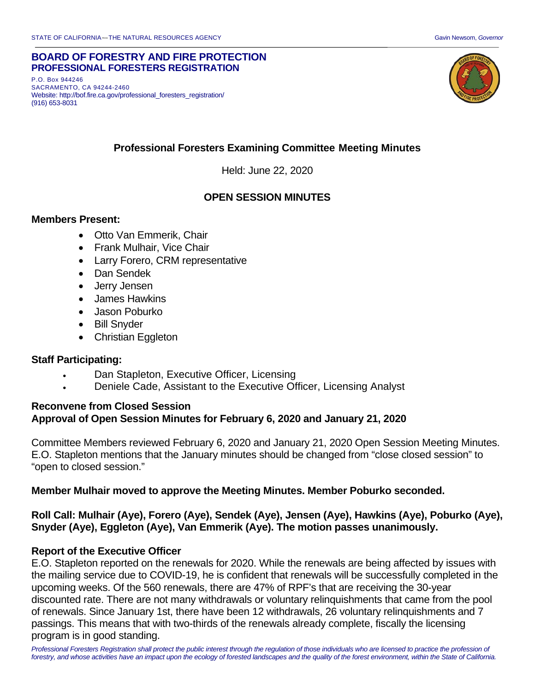#### **BOARD OF FORESTRY AND FIRE PROTECTION PROFESSIONAL FORESTERS REGISTRATION**

P.O. Box 944246 SACRAMENTO, CA 94244-2460 Website: http://bof.fire.ca.gov/professional\_foresters\_registration/ (916) 653-8031



# **Professional Foresters Examining Committee Meeting Minutes**

Held: June 22, 2020

### **OPEN SESSION MINUTES**

#### **Members Present:**

- Otto Van Emmerik, Chair
- Frank Mulhair, Vice Chair
- Larry Forero, CRM representative
- Dan Sendek
- Jerry Jensen
- James Hawkins
- Jason Poburko
- Bill Snyder
- Christian Eggleton

#### **Staff Participating:**

- Dan Stapleton, Executive Officer, Licensing
- Deniele Cade, Assistant to the Executive Officer, Licensing Analyst

#### **Reconvene from Closed Session Approval of Open Session Minutes for February 6, 2020 and January 21, 2020**

Committee Members reviewed February 6, 2020 and January 21, 2020 Open Session Meeting Minutes. E.O. Stapleton mentions that the January minutes should be changed from "close closed session" to "open to closed session."

#### **Member Mulhair moved to approve the Meeting Minutes. Member Poburko seconded.**

### **Roll Call: Mulhair (Aye), Forero (Aye), Sendek (Aye), Jensen (Aye), Hawkins (Aye), Poburko (Aye), Snyder (Aye), Eggleton (Aye), Van Emmerik (Aye). The motion passes unanimously.**

#### **Report of the Executive Officer**

E.O. Stapleton reported on the renewals for 2020. While the renewals are being affected by issues with the mailing service due to COVID-19, he is confident that renewals will be successfully completed in the upcoming weeks. Of the 560 renewals, there are 47% of RPF's that are receiving the 30-year discounted rate. There are not many withdrawals or voluntary relinquishments that came from the pool of renewals. Since January 1st, there have been 12 withdrawals, 26 voluntary relinquishments and 7 passings. This means that with two-thirds of the renewals already complete, fiscally the licensing program is in good standing.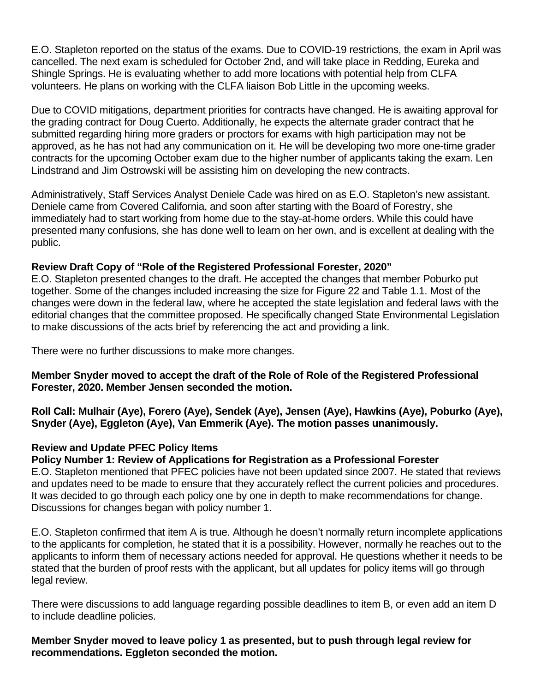E.O. Stapleton reported on the status of the exams. Due to COVID-19 restrictions, the exam in April was cancelled. The next exam is scheduled for October 2nd, and will take place in Redding, Eureka and Shingle Springs. He is evaluating whether to add more locations with potential help from CLFA volunteers. He plans on working with the CLFA liaison Bob Little in the upcoming weeks.

Due to COVID mitigations, department priorities for contracts have changed. He is awaiting approval for the grading contract for Doug Cuerto. Additionally, he expects the alternate grader contract that he submitted regarding hiring more graders or proctors for exams with high participation may not be approved, as he has not had any communication on it. He will be developing two more one-time grader contracts for the upcoming October exam due to the higher number of applicants taking the exam. Len Lindstrand and Jim Ostrowski will be assisting him on developing the new contracts.

Administratively, Staff Services Analyst Deniele Cade was hired on as E.O. Stapleton's new assistant. Deniele came from Covered California, and soon after starting with the Board of Forestry, she immediately had to start working from home due to the stay-at-home orders. While this could have presented many confusions, she has done well to learn on her own, and is excellent at dealing with the public.

### **Review Draft Copy of "Role of the Registered Professional Forester, 2020"**

E.O. Stapleton presented changes to the draft. He accepted the changes that member Poburko put together. Some of the changes included increasing the size for Figure 22 and Table 1.1. Most of the changes were down in the federal law, where he accepted the state legislation and federal laws with the editorial changes that the committee proposed. He specifically changed State Environmental Legislation to make discussions of the acts brief by referencing the act and providing a link.

There were no further discussions to make more changes.

**Member Snyder moved to accept the draft of the Role of Role of the Registered Professional Forester, 2020. Member Jensen seconded the motion.** 

**Roll Call: Mulhair (Aye), Forero (Aye), Sendek (Aye), Jensen (Aye), Hawkins (Aye), Poburko (Aye), Snyder (Aye), Eggleton (Aye), Van Emmerik (Aye). The motion passes unanimously.**

### **Review and Update PFEC Policy Items**

### **Policy Number 1: Review of Applications for Registration as a Professional Forester**

E.O. Stapleton mentioned that PFEC policies have not been updated since 2007. He stated that reviews and updates need to be made to ensure that they accurately reflect the current policies and procedures. It was decided to go through each policy one by one in depth to make recommendations for change. Discussions for changes began with policy number 1.

E.O. Stapleton confirmed that item A is true. Although he doesn't normally return incomplete applications to the applicants for completion, he stated that it is a possibility. However, normally he reaches out to the applicants to inform them of necessary actions needed for approval. He questions whether it needs to be stated that the burden of proof rests with the applicant, but all updates for policy items will go through legal review.

There were discussions to add language regarding possible deadlines to item B, or even add an item D to include deadline policies.

### **Member Snyder moved to leave policy 1 as presented, but to push through legal review for recommendations. Eggleton seconded the motion.**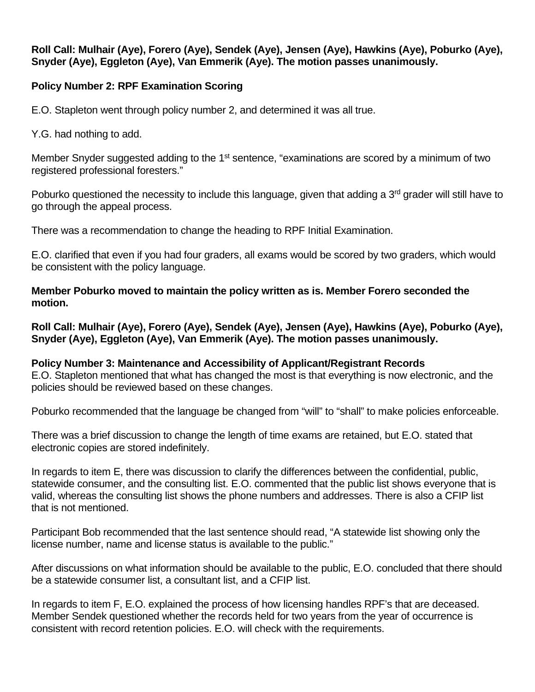### **Roll Call: Mulhair (Aye), Forero (Aye), Sendek (Aye), Jensen (Aye), Hawkins (Aye), Poburko (Aye), Snyder (Aye), Eggleton (Aye), Van Emmerik (Aye). The motion passes unanimously.**

## **Policy Number 2: RPF Examination Scoring**

E.O. Stapleton went through policy number 2, and determined it was all true.

Y.G. had nothing to add.

Member Snyder suggested adding to the  $1<sup>st</sup>$  sentence, "examinations are scored by a minimum of two registered professional foresters."

Poburko questioned the necessity to include this language, given that adding a 3<sup>rd</sup> grader will still have to go through the appeal process.

There was a recommendation to change the heading to RPF Initial Examination.

E.O. clarified that even if you had four graders, all exams would be scored by two graders, which would be consistent with the policy language.

**Member Poburko moved to maintain the policy written as is. Member Forero seconded the motion.** 

**Roll Call: Mulhair (Aye), Forero (Aye), Sendek (Aye), Jensen (Aye), Hawkins (Aye), Poburko (Aye), Snyder (Aye), Eggleton (Aye), Van Emmerik (Aye). The motion passes unanimously.**

**Policy Number 3: Maintenance and Accessibility of Applicant/Registrant Records** E.O. Stapleton mentioned that what has changed the most is that everything is now electronic, and the policies should be reviewed based on these changes.

Poburko recommended that the language be changed from "will" to "shall" to make policies enforceable.

There was a brief discussion to change the length of time exams are retained, but E.O. stated that electronic copies are stored indefinitely.

In regards to item E, there was discussion to clarify the differences between the confidential, public, statewide consumer, and the consulting list. E.O. commented that the public list shows everyone that is valid, whereas the consulting list shows the phone numbers and addresses. There is also a CFIP list that is not mentioned.

Participant Bob recommended that the last sentence should read, "A statewide list showing only the license number, name and license status is available to the public."

After discussions on what information should be available to the public, E.O. concluded that there should be a statewide consumer list, a consultant list, and a CFIP list.

In regards to item F, E.O. explained the process of how licensing handles RPF's that are deceased. Member Sendek questioned whether the records held for two years from the year of occurrence is consistent with record retention policies. E.O. will check with the requirements.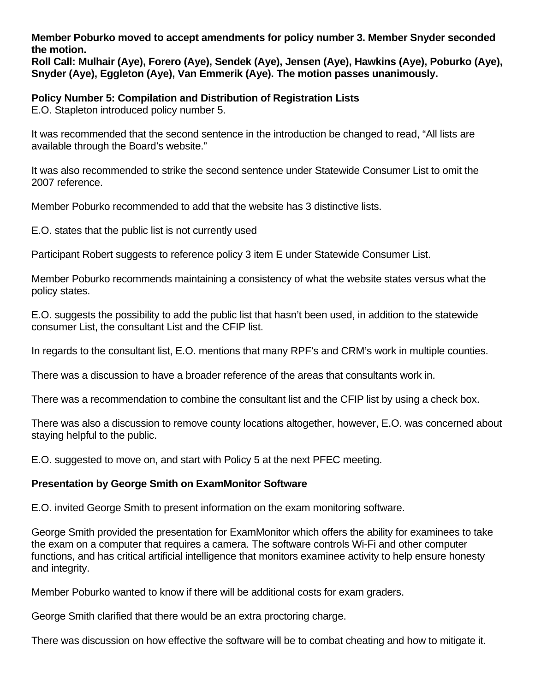**Member Poburko moved to accept amendments for policy number 3. Member Snyder seconded the motion.**

**Roll Call: Mulhair (Aye), Forero (Aye), Sendek (Aye), Jensen (Aye), Hawkins (Aye), Poburko (Aye), Snyder (Aye), Eggleton (Aye), Van Emmerik (Aye). The motion passes unanimously.**

**Policy Number 5: Compilation and Distribution of Registration Lists** E.O. Stapleton introduced policy number 5.

It was recommended that the second sentence in the introduction be changed to read, "All lists are available through the Board's website."

It was also recommended to strike the second sentence under Statewide Consumer List to omit the 2007 reference.

Member Poburko recommended to add that the website has 3 distinctive lists.

E.O. states that the public list is not currently used

Participant Robert suggests to reference policy 3 item E under Statewide Consumer List.

Member Poburko recommends maintaining a consistency of what the website states versus what the policy states.

E.O. suggests the possibility to add the public list that hasn't been used, in addition to the statewide consumer List, the consultant List and the CFIP list.

In regards to the consultant list, E.O. mentions that many RPF's and CRM's work in multiple counties.

There was a discussion to have a broader reference of the areas that consultants work in.

There was a recommendation to combine the consultant list and the CFIP list by using a check box.

There was also a discussion to remove county locations altogether, however, E.O. was concerned about staying helpful to the public.

E.O. suggested to move on, and start with Policy 5 at the next PFEC meeting.

### **Presentation by George Smith on ExamMonitor Software**

E.O. invited George Smith to present information on the exam monitoring software.

George Smith provided the presentation for ExamMonitor which offers the ability for examinees to take the exam on a computer that requires a camera. The software controls Wi-Fi and other computer functions, and has critical artificial intelligence that monitors examinee activity to help ensure honesty and integrity.

Member Poburko wanted to know if there will be additional costs for exam graders.

George Smith clarified that there would be an extra proctoring charge.

There was discussion on how effective the software will be to combat cheating and how to mitigate it.